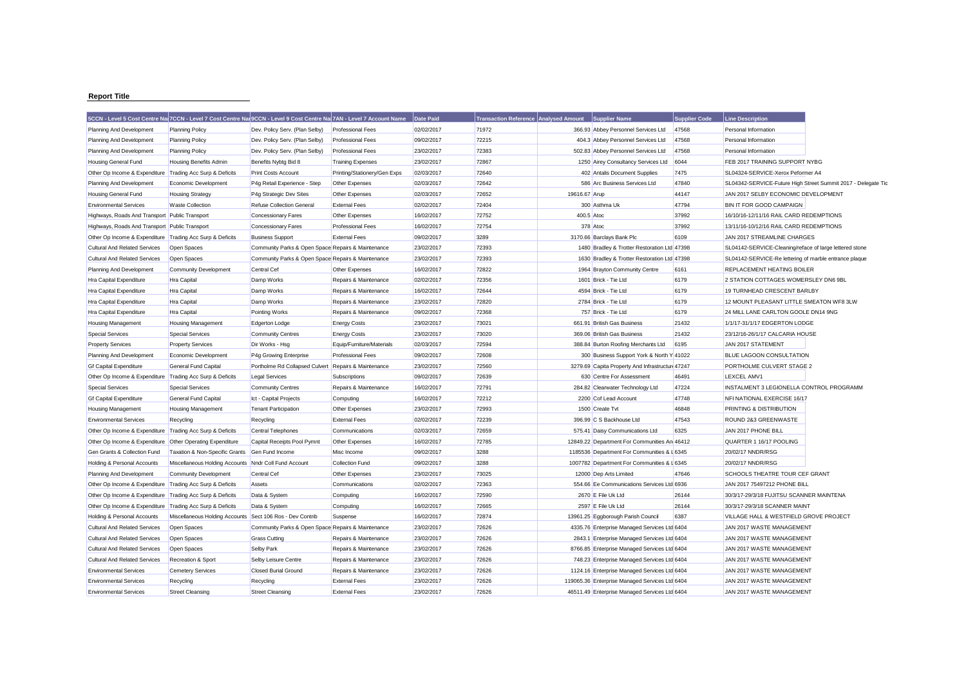## **Report Title**

|                                                           |                                                           | 5CCN - Level 5 Cost Centre Na 7CCN - Level 7 Cost Centre Na 9CCN - Level 9 Cost Centre Na 7AN - Level 7 Account Name |                              | Date Paid  | Transaction Reference Analysed Amount |               | <b>Supplier Name</b>                             | <b>Supplier Code</b> | <b>Line Description</b>                                       |  |
|-----------------------------------------------------------|-----------------------------------------------------------|----------------------------------------------------------------------------------------------------------------------|------------------------------|------------|---------------------------------------|---------------|--------------------------------------------------|----------------------|---------------------------------------------------------------|--|
| Planning And Development                                  | <b>Planning Policy</b>                                    | Dev. Policy Serv. (Plan Selby)                                                                                       | <b>Professional Fees</b>     | 02/02/2017 | 71972                                 |               | 366.93 Abbey Personnel Services Ltd              | 47568                | Personal Information                                          |  |
| Planning And Development                                  | <b>Planning Policy</b>                                    | Dev. Policy Serv. (Plan Selby)                                                                                       | <b>Professional Fees</b>     | 09/02/2017 | 72215                                 |               | 404.3 Abbey Personnel Services Ltd               | 47568                | Personal Information                                          |  |
| Planning And Development                                  | <b>Planning Policy</b>                                    | Dev. Policy Serv. (Plan Selby)                                                                                       | <b>Professional Fees</b>     | 23/02/2017 | 72383                                 |               | 502.83 Abbey Personnel Services Ltd              | 47568                | Personal Information                                          |  |
| <b>Housing General Fund</b>                               | Housing Benefits Admin                                    | Benefits Nybtg Bid 8                                                                                                 | <b>Training Expenses</b>     | 23/02/2017 | 72867                                 |               | 1250 Airey Consultancy Services Ltd              | 6044                 | FEB 2017 TRAINING SUPPORT NYBG                                |  |
| Other Op Income & Expenditure Trading Acc Surp & Deficits |                                                           | <b>Print Costs Account</b>                                                                                           | Printing/Stationery/Gen Exps | 02/03/2017 | 72640                                 |               | 402 Antalis Document Supplies                    | 7475                 | SL04324-SERVICE-Xerox Peformer A4                             |  |
| Planning And Development                                  | Economic Development                                      | P4g Retail Experience - Step                                                                                         | Other Expenses               | 02/03/2017 | 72642                                 |               | 586 Arc Business Services Ltd                    | 47840                | SL04342-SERVICE-Future High Street Summit 2017 - Delegate Tio |  |
| <b>Housing General Fund</b>                               | <b>Housing Strategy</b>                                   | P4g Strategic Dev Sites                                                                                              | Other Expenses               | 02/03/2017 | 72652                                 | 19616.67 Arup |                                                  | 44147                | JAN 2017 SELBY ECONOMIC DEVELOPMENT                           |  |
| <b>Environmental Services</b>                             | <b>Waste Collection</b>                                   | <b>Refuse Collection General</b>                                                                                     | <b>External Fees</b>         | 02/02/2017 | 72404                                 |               | 300 Asthma Uk                                    | 47794                | <b>BIN IT FOR GOOD CAMPAIGN</b>                               |  |
| Highways, Roads And Transport Public Transport            |                                                           | Concessionary Fares                                                                                                  | Other Expenses               | 16/02/2017 | 72752                                 | 400.5 Atoc    |                                                  | 37992                | 16/10/16-12/11/16 RAIL CARD REDEMPTIONS                       |  |
| Highways, Roads And Transport Public Transport            |                                                           | Concessionary Fares                                                                                                  | <b>Professional Fees</b>     | 16/02/2017 | 72754                                 |               | 378 Atoc                                         | 37992                | 13/11/16-10/12/16 RAIL CARD REDEMPTIONS                       |  |
| Other Op Income & Expenditure Trading Acc Surp & Deficits |                                                           | <b>Business Support</b>                                                                                              | <b>External Fees</b>         | 09/02/2017 | 3289                                  |               | 3170.66 Barclays Bank Plc                        | 6109                 | JAN 2017 STREAMLINE CHARGES                                   |  |
| <b>Cultural And Related Services</b>                      | Open Spaces                                               | Community Parks & Open Space Repairs & Maintenance                                                                   |                              | 23/02/2017 | 72393                                 |               | 1480 Bradley & Trotter Restoration Ltd 47398     |                      | SL04142-SERVICE-Cleaning/reface of large lettered stone       |  |
| <b>Cultural And Related Services</b>                      | Open Spaces                                               | Community Parks & Open Space Repairs & Maintenance                                                                   |                              | 23/02/2017 | 72393                                 |               | 1630 Bradley & Trotter Restoration Ltd 47398     |                      | SL04142-SERVICE-Re lettering of marble entrance plaque        |  |
| Planning And Development                                  | <b>Community Development</b>                              | Central Cef                                                                                                          | Other Expenses               | 16/02/2017 | 72822                                 |               | 1964 Brayton Community Centre                    | 6161                 | REPLACEMENT HEATING BOILER                                    |  |
| Hra Capital Expenditure                                   | <b>Hra Capital</b>                                        | Damp Works                                                                                                           | Repairs & Maintenance        | 02/02/2017 | 72356                                 |               | 1601 Brick - Tie Ltd                             | 6179                 | 2 STATION COTTAGES WOMERSLEY DN6 9BL                          |  |
| Hra Capital Expenditure                                   | <b>Hra Capital</b>                                        | Damp Works                                                                                                           | Repairs & Maintenance        | 16/02/2017 | 72644                                 |               | 4594 Brick - Tie Ltd                             | 6179                 | 19 TURNHEAD CRESCENT BARLBY                                   |  |
| Hra Capital Expenditure                                   | Hra Capital                                               | Damp Works                                                                                                           | Repairs & Maintenance        | 23/02/2017 | 72820                                 |               | 2784 Brick - Tie Ltd                             | 6179                 | 12 MOUNT PLEASANT LITTLE SMEATON WF8 3LW                      |  |
| Hra Capital Expenditure                                   | Hra Capital                                               | <b>Pointing Works</b>                                                                                                | Repairs & Maintenance        | 09/02/2017 | 72368                                 |               | 757 Brick - Tie Ltd                              | 6179                 | 24 MILL LANE CARLTON GOOLE DN14 9NG                           |  |
| Housing Management                                        | <b>Housing Management</b>                                 | Edgerton Lodge                                                                                                       | <b>Energy Costs</b>          | 23/02/2017 | 73021                                 |               | 661.91 British Gas Business                      | 21432                | 1/1/17-31/1/17 EDGERTON LODGE                                 |  |
| <b>Special Services</b>                                   | <b>Special Services</b>                                   | <b>Community Centres</b>                                                                                             | <b>Energy Costs</b>          | 23/02/2017 | 73020                                 |               | 369.06 British Gas Business                      | 21432                | 23/12/16-26/1/17 CALCARIA HOUSE                               |  |
| <b>Property Services</b>                                  | <b>Property Services</b>                                  | Dir Works - Hsg                                                                                                      | Equip/Furniture/Materials    | 02/03/2017 | 72594                                 |               | 388.84 Burton Roofing Merchants Ltd              | 6195                 | JAN 2017 STATEMENT                                            |  |
| Planning And Development                                  | Economic Development                                      | P4g Growing Enterprise                                                                                               | <b>Professional Fees</b>     | 09/02/2017 | 72608                                 |               | 300 Business Support York & North Y 41022        |                      | <b>BLUE LAGOON CONSULTATION</b>                               |  |
| <b>Gf Capital Expenditure</b>                             | General Fund Capital                                      | Portholme Rd Collapsed Culvert Repairs & Maintenance                                                                 |                              | 23/02/2017 | 72560                                 |               | 3279.69 Capita Property And Infrastructure 47247 |                      | PORTHOLME CULVERT STAGE 2                                     |  |
| Other Op Income & Expenditure Trading Acc Surp & Deficits |                                                           | Legal Services                                                                                                       | Subscriptions                | 09/02/2017 | 72639                                 |               | 630 Centre For Assessment                        | 46491                | LEXCEL AMV1                                                   |  |
| <b>Special Services</b>                                   | <b>Special Services</b>                                   | <b>Community Centres</b>                                                                                             | Repairs & Maintenance        | 16/02/2017 | 72791                                 |               | 284.82 Clearwater Technology Ltd                 | 47224                | INSTALMENT 3 LEGIONELLA CONTROL PROGRAMM                      |  |
| <b>Gf Capital Expenditure</b>                             | General Fund Capital                                      | Ict - Capital Projects                                                                                               | Computing                    | 16/02/2017 | 72212                                 |               | 2200 Cof Lead Account                            | 47748                | NFI NATIONAL EXERCISE 16/17                                   |  |
| Housing Management                                        | <b>Housing Management</b>                                 | <b>Tenant Participation</b>                                                                                          | Other Expenses               | 23/02/2017 | 72993                                 |               | 1500 Create Tvt                                  | 46848                | PRINTING & DISTRIBUTION                                       |  |
| <b>Environmental Services</b>                             | Recycling                                                 | Recycling                                                                                                            | <b>External Fees</b>         | 02/02/2017 | 72239                                 |               | 396.99 C S Backhouse Ltd                         | 47543                | ROUND 2&3 GREENWASTE                                          |  |
| Other Op Income & Expenditure Trading Acc Surp & Deficits |                                                           | Central Telephones                                                                                                   | Communications               | 02/03/2017 | 72659                                 |               | 575.41 Daisy Communications Ltd                  | 6325                 | JAN 2017 PHONE BILL                                           |  |
| Other Op Income & Expenditure Other Operating Expenditure |                                                           | Capital Receipts Pool Pymnt                                                                                          | Other Expenses               | 16/02/2017 | 72785                                 |               | 12849.22 Department For Communities An 46412     |                      | QUARTER 1 16/17 POOLING                                       |  |
| Gen Grants & Collection Fund                              | Taxation & Non-Specific Grants                            | Gen Fund Income                                                                                                      | Misc Income                  | 09/02/2017 | 3288                                  |               | 1185536 Department For Communities & L 6345      |                      | 20/02/17 NNDR/RSG                                             |  |
| Holding & Personal Accounts                               | Miscellaneous Holding Accounts Nndr Coll Fund Account     |                                                                                                                      | Collection Fund              | 09/02/2017 | 3288                                  |               | 1007782 Department For Communities & L 6345      |                      | 20/02/17 NNDR/RSG                                             |  |
| Planning And Development                                  | <b>Community Development</b>                              | <b>Central Cef</b>                                                                                                   | Other Expenses               | 23/02/2017 | 73025                                 |               | 12000 Dep Arts Limited                           | 47646                | <b>SCHOOLS THEATRE TOUR CEF GRANT</b>                         |  |
| Other Op Income & Expenditure Trading Acc Surp & Deficits |                                                           | Assets                                                                                                               | Communications               | 02/02/2017 | 72363                                 |               | 554.66 Ee Communications Services Ltd 6936       |                      | JAN 2017 75497212 PHONE BILL                                  |  |
| Other Op Income & Expenditure Trading Acc Surp & Deficits |                                                           | Data & System                                                                                                        | Computing                    | 16/02/2017 | 72590                                 |               | 2670 E File Uk Ltd                               | 26144                | 30/3/17-29/3/18 FUJITSU SCANNER MAINTENA                      |  |
| Other Op Income & Expenditure Trading Acc Surp & Deficits |                                                           | Data & System                                                                                                        | Computing                    | 16/02/2017 | 72665                                 |               | 2597 E File Uk Ltd                               | 26144                | 30/3/17-29/3/18 SCANNER MAINT                                 |  |
| Holding & Personal Accounts                               | Miscellaneous Holding Accounts Sect 106 Ros - Dev Contrib |                                                                                                                      | Suspense                     | 16/02/2017 | 72874                                 |               | 13961.25 Eggborough Parish Council               | 6387                 | VILLAGE HALL & WESTFIELD GROVE PROJECT                        |  |
| <b>Cultural And Related Services</b>                      | Open Spaces                                               | Community Parks & Open Space Repairs & Maintenance                                                                   |                              | 23/02/2017 | 72626                                 |               | 4335.76 Enterprise Managed Services Ltd 6404     |                      | JAN 2017 WASTE MANAGEMENT                                     |  |
| <b>Cultural And Related Services</b>                      | Open Spaces                                               | <b>Grass Cutting</b>                                                                                                 | Repairs & Maintenance        | 23/02/2017 | 72626                                 |               | 2843.1 Enterprise Managed Services Ltd 6404      |                      | JAN 2017 WASTE MANAGEMENT                                     |  |
| <b>Cultural And Related Services</b>                      | Open Spaces                                               | <b>Selby Park</b>                                                                                                    | Repairs & Maintenance        | 23/02/2017 | 72626                                 |               | 8766.85 Enterprise Managed Services Ltd 6404     |                      | JAN 2017 WASTE MANAGEMENT                                     |  |
| <b>Cultural And Related Services</b>                      | Recreation & Sport                                        | Selby Leisure Centre                                                                                                 | Repairs & Maintenance        | 23/02/2017 | 72626                                 |               | 748.23 Enterprise Managed Services Ltd 6404      |                      | JAN 2017 WASTE MANAGEMENT                                     |  |
| <b>Environmental Services</b>                             | <b>Cemetery Services</b>                                  | <b>Closed Burial Ground</b>                                                                                          | Repairs & Maintenance        | 23/02/2017 | 72626                                 |               | 1124.16 Enterprise Managed Services Ltd 6404     |                      | JAN 2017 WASTE MANAGEMENT                                     |  |
| <b>Environmental Services</b>                             | Recycling                                                 | Recycling                                                                                                            | <b>External Fees</b>         | 23/02/2017 | 72626                                 |               | 119065.36 Enterprise Managed Services Ltd 6404   |                      | JAN 2017 WASTE MANAGEMENT                                     |  |
| <b>Environmental Services</b>                             | <b>Street Cleansing</b>                                   | <b>Street Cleansing</b>                                                                                              | <b>External Fees</b>         | 23/02/2017 | 72626                                 |               | 46511.49 Enterprise Managed Services Ltd 6404    |                      | JAN 2017 WASTE MANAGEMENT                                     |  |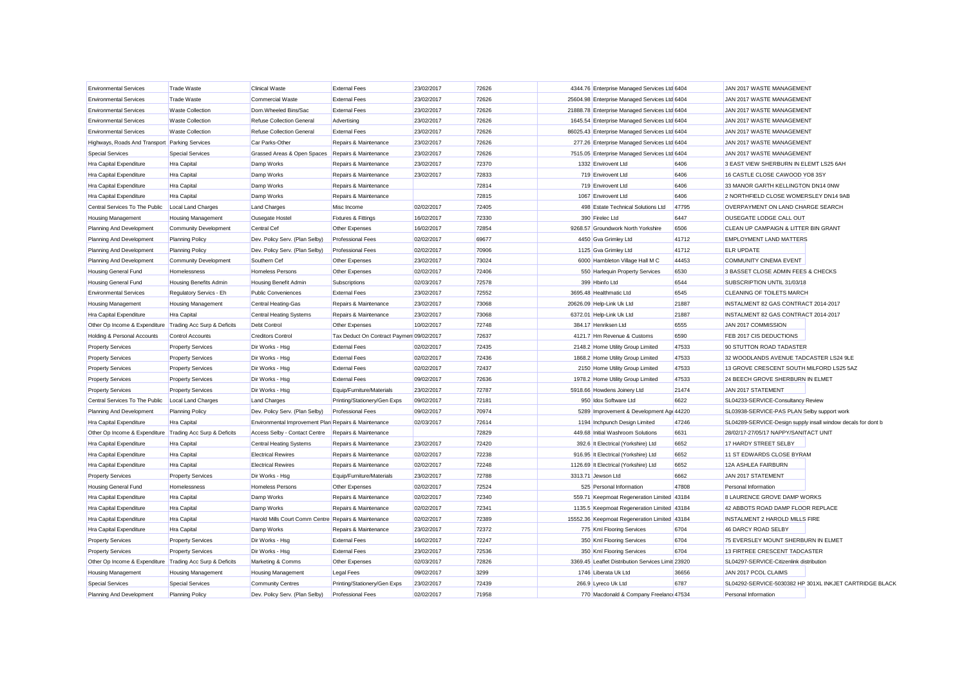| <b>Environmental Services</b>                             | <b>Trade Waste</b>           | <b>Clinical Waste</b>                                | <b>External Fees</b>                     | 23/02/2017 | 72626 | 4344.76 Enterprise Managed Services Ltd 6404      |       | JAN 2017 WASTE MANAGEMENT                                     |                                                         |
|-----------------------------------------------------------|------------------------------|------------------------------------------------------|------------------------------------------|------------|-------|---------------------------------------------------|-------|---------------------------------------------------------------|---------------------------------------------------------|
| <b>Environmental Services</b>                             | <b>Trade Waste</b>           | <b>Commercial Waste</b>                              | <b>External Fees</b>                     | 23/02/2017 | 72626 | 25604.98 Enterprise Managed Services Ltd 6404     |       | JAN 2017 WASTE MANAGEMENT                                     |                                                         |
| <b>Environmental Services</b>                             | <b>Waste Collection</b>      | Dom.Wheeled Bins/Sac                                 | <b>External Fees</b>                     | 23/02/2017 | 72626 | 21888.78 Enterprise Managed Services Ltd 6404     |       | JAN 2017 WASTE MANAGEMENT                                     |                                                         |
| <b>Environmental Services</b>                             | <b>Waste Collection</b>      | <b>Refuse Collection General</b>                     | Advertising                              | 23/02/2017 | 72626 | 1645.54 Enterprise Managed Services Ltd 6404      |       | JAN 2017 WASTE MANAGEMENT                                     |                                                         |
| <b>Environmental Services</b>                             | Waste Collection             | <b>Refuse Collection General</b>                     | <b>External Fees</b>                     | 23/02/2017 | 72626 | 86025.43 Enterprise Managed Services Ltd 6404     |       | JAN 2017 WASTE MANAGEMENT                                     |                                                         |
| Highways, Roads And Transport Parking Services            |                              | Car Parks-Other                                      | Repairs & Maintenance                    | 23/02/2017 | 72626 | 277.26 Enterprise Managed Services Ltd 6404       |       | JAN 2017 WASTE MANAGEMENT                                     |                                                         |
| <b>Special Services</b>                                   | <b>Special Services</b>      | Grassed Areas & Open Spaces                          | Repairs & Maintenance                    | 23/02/2017 | 72626 | 7515.05 Enterprise Managed Services Ltd 6404      |       | JAN 2017 WASTE MANAGEMENT                                     |                                                         |
| Hra Capital Expenditure                                   | Hra Capital                  | Damp Works                                           | Repairs & Maintenance                    | 23/02/2017 | 72370 | 1332 Envirovent Ltd                               | 6406  | 3 EAST VIEW SHERBURN IN ELEMT LS25 6AH                        |                                                         |
| Hra Capital Expenditure                                   | Hra Capital                  | Damp Works                                           | Repairs & Maintenance                    | 23/02/2017 | 72833 | 719 Envirovent Ltd                                | 6406  | 16 CASTLE CLOSE CAWOOD YO8 3SY                                |                                                         |
| Hra Capital Expenditure                                   | Hra Capital                  | Damp Works                                           | Repairs & Maintenance                    |            | 72814 | 719 Envirovent Ltd                                | 6406  | 33 MANOR GARTH KELLINGTON DN14 0NW                            |                                                         |
| Hra Capital Expenditure                                   | Hra Capital                  | Damp Works                                           | Repairs & Maintenance                    |            | 72815 | 1067 Envirovent Ltd                               | 6406  | 2 NORTHFIELD CLOSE WOMERSLEY DN14 9AB                         |                                                         |
| Central Services To The Public                            | <b>Local Land Charges</b>    | <b>Land Charges</b>                                  | Misc Income                              | 02/02/2017 | 72405 | 498 Estate Technical Solutions Ltd                | 47795 | OVERPAYMENT ON LAND CHARGE SEARCH                             |                                                         |
| Housing Management                                        | <b>Housing Management</b>    | <b>Ousegate Hostel</b>                               | <b>Fixtures &amp; Fittings</b>           | 16/02/2017 | 72330 | 390 Firelec Ltd                                   | 6447  | OUSEGATE LODGE CALL OUT                                       |                                                         |
| Planning And Development                                  | <b>Community Development</b> | Central Cef                                          | Other Expenses                           | 16/02/2017 | 72854 | 9268.57 Groundwork North Yorkshire                | 6506  | CLEAN UP CAMPAIGN & LITTER BIN GRANT                          |                                                         |
| Planning And Development                                  | <b>Planning Policy</b>       | Dev. Policy Serv. (Plan Selby)                       | <b>Professional Fees</b>                 | 02/02/2017 | 69677 | 4450 Gva Grimley Ltd                              | 41712 | <b>EMPLOYMENT LAND MATTERS</b>                                |                                                         |
| Planning And Development                                  | <b>Planning Policy</b>       | Dev. Policy Serv. (Plan Selby)                       | <b>Professional Fees</b>                 | 02/02/2017 | 70906 | 1125 Gva Grimley Ltd                              | 41712 | <b>ELR UPDATE</b>                                             |                                                         |
| Planning And Development                                  | Community Development        | Southern Cef                                         | Other Expenses                           | 23/02/2017 | 73024 | 6000 Hambleton Village Hall M C                   | 44453 | COMMUNITY CINEMA EVENT                                        |                                                         |
| Housing General Fund                                      | Homelessness                 | <b>Homeless Persons</b>                              | Other Expenses                           | 02/02/2017 | 72406 | 550 Harlequin Property Services                   | 6530  | 3 BASSET CLOSE ADMIN FEES & CHECKS                            |                                                         |
| Housing General Fund                                      | Housing Benefits Admin       | <b>Housing Benefit Admin</b>                         | Subscriptions                            | 02/03/2017 | 72578 | 399 Hbinfo Ltd                                    | 6544  | SUBSCRIPTION UNTIL 31/03/18                                   |                                                         |
| <b>Environmental Services</b>                             | Regulatory Servics - Eh      | <b>Public Conveniences</b>                           | <b>External Fees</b>                     | 23/02/2017 | 72552 | 3695.48 Healthmatic Ltd                           | 6545  | CLEANING OF TOILETS MARCH                                     |                                                         |
| Housing Management                                        | <b>Housing Management</b>    | Central Heating-Gas                                  | Repairs & Maintenance                    | 23/02/2017 | 73068 | 20626.09 Help-Link Uk Ltd                         | 21887 | INSTALMENT 82 GAS CONTRACT 2014-2017                          |                                                         |
| Hra Capital Expenditure                                   | Hra Capital                  | <b>Central Heating Systems</b>                       | Repairs & Maintenance                    | 23/02/2017 | 73068 | 6372.01 Help-Link Uk Ltd                          | 21887 | INSTALMENT 82 GAS CONTRACT 2014-2017                          |                                                         |
| Other Op Income & Expenditure Trading Acc Surp & Deficits |                              | Debt Control                                         | Other Expenses                           | 10/02/2017 | 72748 | 384.17 Henriksen Ltd                              | 6555  | JAN 2017 COMMISSION                                           |                                                         |
| Holding & Personal Accounts                               | <b>Control Accounts</b>      | <b>Creditors Control</b>                             | Tax Deduct On Contract Paymen 09/02/2017 |            | 72637 | 4121.7 Hm Revenue & Customs                       | 6590  | FEB 2017 CIS DEDUCTIONS                                       |                                                         |
| <b>Property Services</b>                                  | <b>Property Services</b>     | Dir Works - Hsg                                      | <b>External Fees</b>                     | 02/02/2017 | 72435 | 2148.2 Home Utility Group Limited                 | 47533 | 90 STUTTON ROAD TADASTER                                      |                                                         |
| <b>Property Services</b>                                  | <b>Property Services</b>     | Dir Works - Hsg                                      | <b>External Fees</b>                     | 02/02/2017 | 72436 | 1868.2 Home Utility Group Limited                 | 47533 | 32 WOODLANDS AVENUE TADCASTER LS24 9LE                        |                                                         |
| <b>Property Services</b>                                  | <b>Property Services</b>     | Dir Works - Hsg                                      | <b>External Fees</b>                     | 02/02/2017 | 72437 | 2150 Home Utility Group Limited                   | 47533 | 13 GROVE CRESCENT SOUTH MILFORD LS25 5AZ                      |                                                         |
| <b>Property Services</b>                                  | <b>Property Services</b>     | Dir Works - Hsg                                      | <b>External Fees</b>                     | 09/02/2017 | 72636 | 1978.2 Home Utility Group Limited                 | 47533 | 24 BEECH GROVE SHERBURN IN ELMET                              |                                                         |
| <b>Property Services</b>                                  | <b>Property Services</b>     | Dir Works - Hsg                                      | Equip/Furniture/Materials                | 23/02/2017 | 72787 | 5918.66 Howdens Joinery Ltd                       | 21474 | JAN 2017 STATEMENT                                            |                                                         |
| Central Services To The Public                            | <b>Local Land Charges</b>    | <b>Land Charges</b>                                  | Printing/Stationery/Gen Exps             | 09/02/2017 | 72181 | 950 Idox Software Ltd                             | 6622  | SL04233-SERVICE-Consultancy Review                            |                                                         |
| Planning And Development                                  | <b>Planning Policy</b>       | Dev. Policy Serv. (Plan Selby)                       | <b>Professional Fees</b>                 | 09/02/2017 | 70974 | 5289 Improvement & Development Age 44220          |       | SL03938-SERVICE-PAS PLAN Selby support work                   |                                                         |
| Hra Capital Expenditure                                   | Hra Capital                  | Environmental Improvement Plan Repairs & Maintenance |                                          | 02/03/2017 | 72614 | 1194 Inchpunch Design Limited                     | 47246 | SL04289-SERVICE-Design supply insall window decals for dont b |                                                         |
| Other Op Income & Expenditure Trading Acc Surp & Deficits |                              | Access Selby - Contact Centre                        | Repairs & Maintenance                    |            | 72829 | 449.68 Initial Washroom Solutions                 | 6631  | 28/02/17-27/05/17 NAPPY/SANITACT UNIT                         |                                                         |
| Hra Capital Expenditure                                   | Hra Capital                  | <b>Central Heating Systems</b>                       | Repairs & Maintenance                    | 23/02/2017 | 72420 | 392.6 It Electrical (Yorkshire) Ltd               | 6652  | 17 HARDY STREET SELBY                                         |                                                         |
| Hra Capital Expenditure                                   | Hra Capital                  | <b>Electrical Rewires</b>                            | Repairs & Maintenance                    | 02/02/2017 | 72238 | 916.95 It Electrical (Yorkshire) Ltd              | 6652  | 11 ST EDWARDS CLOSE BYRAM                                     |                                                         |
| Hra Capital Expenditure                                   | Hra Capital                  | <b>Electrical Rewires</b>                            | Repairs & Maintenance                    | 02/02/2017 | 72248 | 1126.69 It Electrical (Yorkshire) Ltd             | 6652  | 12A ASHLEA FAIRBURN                                           |                                                         |
| <b>Property Services</b>                                  | <b>Property Services</b>     | Dir Works - Hsg                                      | Equip/Furniture/Materials                | 23/02/2017 | 72788 | 3313.71 Jewson Ltd                                | 6662  | JAN 2017 STATEMENT                                            |                                                         |
| Housing General Fund                                      | Homelessness                 | <b>Homeless Persons</b>                              | Other Expenses                           | 02/02/2017 | 72524 | 525 Personal Information                          | 47808 | Personal Information                                          |                                                         |
| Hra Capital Expenditure                                   | Hra Capital                  | Damp Works                                           | Repairs & Maintenance                    | 02/02/2017 | 72340 | 559.71 Keepmoat Regeneration Limited 43184        |       | 8 LAURENCE GROVE DAMP WORKS                                   |                                                         |
| Hra Capital Expenditure                                   | Hra Capital                  | Damp Works                                           | Repairs & Maintenance                    | 02/02/2017 | 72341 | 1135.5 Keepmoat Regeneration Limited 43184        |       | 42 ABBOTS ROAD DAMP FLOOR REPLACE                             |                                                         |
| Hra Capital Expenditure                                   | <b>Hra Capital</b>           | Harold Mills Court Comm Centre Repairs & Maintenance |                                          | 02/02/2017 | 72389 | 15552.36 Keepmoat Regeneration Limited 43184      |       | INSTALMENT 2 HAROLD MILLS FIRE                                |                                                         |
| Hra Capital Expenditure                                   | Hra Capital                  | Damp Works                                           | Repairs & Maintenance                    | 23/02/2017 | 72372 | 775 Kml Flooring Services                         | 6704  | 46 DARCY ROAD SELBY                                           |                                                         |
| <b>Property Services</b>                                  | <b>Property Services</b>     | Dir Works - Hsg                                      | <b>External Fees</b>                     | 16/02/2017 | 72247 | 350 Kml Flooring Services                         | 6704  | 75 EVERSLEY MOUNT SHERBURN IN ELMET                           |                                                         |
| <b>Property Services</b>                                  | <b>Property Services</b>     | Dir Works - Hsg                                      | <b>External Fees</b>                     | 23/02/2017 | 72536 | 350 Kml Flooring Services                         | 6704  | 13 FIRTREE CRESCENT TADCASTER                                 |                                                         |
| Other Op Income & Expenditure Trading Acc Surp & Deficits |                              | Marketing & Comms                                    | Other Expenses                           | 02/03/2017 | 72826 | 3369.45 Leaflet Distribution Services Limit 23920 |       | SL04297-SERVICE-Citizenlink distribution                      |                                                         |
| <b>Housing Management</b>                                 | <b>Housing Management</b>    | <b>Housing Management</b>                            | <b>Legal Fees</b>                        | 09/02/2017 | 3299  | 1746 Liberata Uk Ltd                              | 36656 | JAN 2017 PCOL CLAIMS                                          |                                                         |
| <b>Special Services</b>                                   | <b>Special Services</b>      | <b>Community Centres</b>                             | Printing/Stationery/Gen Exps             | 23/02/2017 | 72439 | 266.9 Lyreco Uk Ltd                               | 6787  |                                                               | SL04292-SERVICE-5030382 HP 301XL INKJET CARTRIDGE BLACK |
| Planning And Development                                  | Planning Policy              | Dev. Policy Serv. (Plan Selby)                       | <b>Professional Fees</b>                 | 02/02/2017 | 71958 | 770 Macdonald & Company Freelance 47534           |       | Personal Information                                          |                                                         |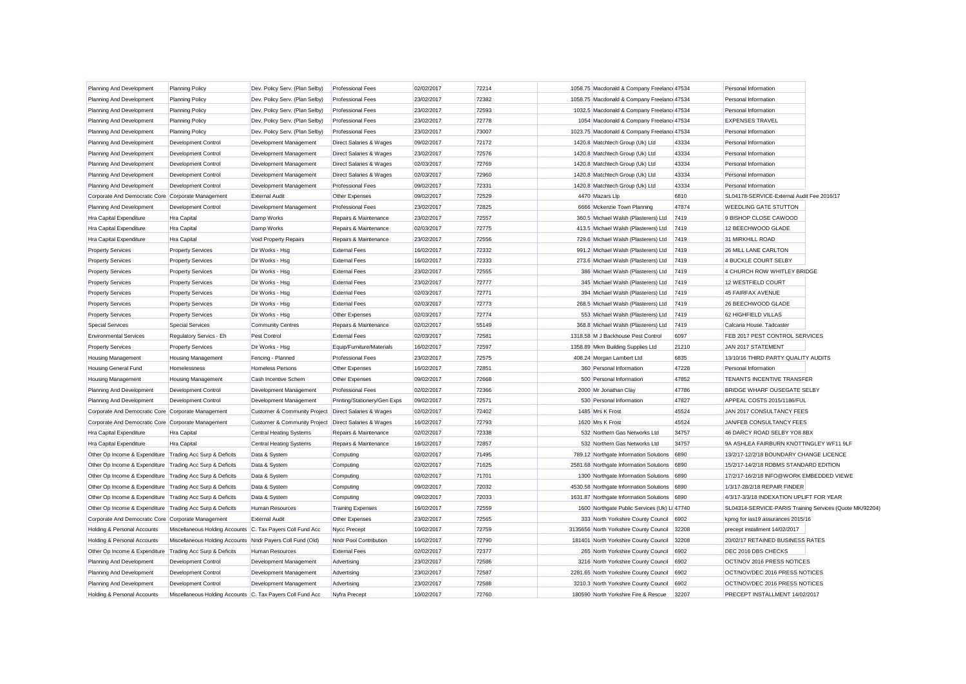| Planning And Development                                  | <b>Planning Policy</b>                                     | Dev. Policy Serv. (Plan Selby)                         | <b>Professional Fees</b>     | 02/02/2017 | 72214 | 1058.75 Macdonald & Company Freelance 47534  |       | Personal Information                                     |  |
|-----------------------------------------------------------|------------------------------------------------------------|--------------------------------------------------------|------------------------------|------------|-------|----------------------------------------------|-------|----------------------------------------------------------|--|
| Planning And Development                                  | <b>Planning Policy</b>                                     | Dev. Policy Serv. (Plan Selby)                         | <b>Professional Fees</b>     | 23/02/2017 | 72382 | 1058.75 Macdonald & Company Freelance 47534  |       | Personal Information                                     |  |
| Planning And Development                                  | <b>Planning Policy</b>                                     | Dev. Policy Serv. (Plan Selby)                         | <b>Professional Fees</b>     | 23/02/2017 | 72593 | 1032.5 Macdonald & Company Freelance 47534   |       | Personal Information                                     |  |
| Planning And Development                                  | <b>Planning Policy</b>                                     | Dev. Policy Serv. (Plan Selby)                         | <b>Professional Fees</b>     | 23/02/2017 | 72778 | 1054 Macdonald & Company Freelance 47534     |       | <b>EXPENSES TRAVEL</b>                                   |  |
| Planning And Development                                  | <b>Planning Policy</b>                                     | Dev. Policy Serv. (Plan Selby)                         | <b>Professional Fees</b>     | 23/02/2017 | 73007 | 1023.75 Macdonald & Company Freelance 47534  |       | Personal Information                                     |  |
| Planning And Development                                  | Development Control                                        | Development Management                                 | Direct Salaries & Wages      | 09/02/2017 | 72172 | 1420.8 Matchtech Group (Uk) Ltd              | 43334 | Personal Information                                     |  |
| Planning And Development                                  | <b>Development Control</b>                                 | Development Management                                 | Direct Salaries & Wages      | 23/02/2017 | 72576 | 1420.8 Matchtech Group (Uk) Ltd              | 43334 | Personal Information                                     |  |
| Planning And Development                                  | <b>Development Control</b>                                 | Development Management                                 | Direct Salaries & Wages      | 02/03/2017 | 72769 | 1420.8 Matchtech Group (Uk) Ltd              | 43334 | Personal Information                                     |  |
| Planning And Development                                  | Development Control                                        | Development Management                                 | Direct Salaries & Wages      | 02/03/2017 | 72960 | 1420.8 Matchtech Group (Uk) Ltd              | 43334 | Personal Information                                     |  |
| Planning And Development                                  | Development Control                                        | Development Management                                 | <b>Professional Fees</b>     | 09/02/2017 | 72331 | 1420.8 Matchtech Group (Uk) Ltd              | 43334 | Personal Information                                     |  |
| Corporate And Democratic Core Corporate Management        |                                                            | <b>External Audit</b>                                  | Other Expenses               | 09/02/2017 | 72529 | 4470 Mazars Llp                              | 6810  | SL04178-SERVICE-External Audit Fee 2016/17               |  |
| Planning And Development                                  | Development Control                                        | Development Management                                 | <b>Professional Fees</b>     | 23/02/2017 | 72825 | 6666 Mckenzie Town Planning                  | 47874 | <b>WEEDLING GATE STUTTON</b>                             |  |
| Hra Capital Expenditure                                   | <b>Hra</b> Capital                                         | Damp Works                                             | Repairs & Maintenance        | 23/02/2017 | 72557 | 360.5 Michael Walsh (Plasterers) Ltd         | 7419  | 9 BISHOP CLOSE CAWOOD                                    |  |
| Hra Capital Expenditure                                   | Hra Capital                                                | Damp Works                                             | Repairs & Maintenance        | 02/03/2017 | 72775 | 413.5 Michael Walsh (Plasterers) Ltd         | 7419  | 12 BEECHWOOD GLADE                                       |  |
| Hra Capital Expenditure                                   | <b>Hra</b> Capital                                         | Void Property Repairs                                  | Repairs & Maintenance        | 23/02/2017 | 72556 | 729.6 Michael Walsh (Plasterers) Ltd         | 7419  | 31 MIRKHILL ROAD                                         |  |
| <b>Property Services</b>                                  | <b>Property Services</b>                                   | Dir Works - Hsg                                        | <b>External Fees</b>         | 16/02/2017 | 72332 | 991.2 Michael Walsh (Plasterers) Ltd         | 7419  | 26 MILL LANE CARLTON                                     |  |
| <b>Property Services</b>                                  | <b>Property Services</b>                                   | Dir Works - Hsg                                        | <b>External Fees</b>         | 16/02/2017 | 72333 | 273.6 Michael Walsh (Plasterers) Ltd         | 7419  | 4 BUCKLE COURT SELBY                                     |  |
| <b>Property Services</b>                                  | <b>Property Services</b>                                   | Dir Works - Hsg                                        | <b>External Fees</b>         | 23/02/2017 | 72555 | 386 Michael Walsh (Plasterers) Ltd           | 7419  | 4 CHURCH ROW WHITLEY BRIDGE                              |  |
| <b>Property Services</b>                                  | <b>Property Services</b>                                   | Dir Works - Hsg                                        | <b>External Fees</b>         | 23/02/2017 | 72777 | 345 Michael Walsh (Plasterers) Ltd           | 7419  | 12 WESTFIELD COURT                                       |  |
| <b>Property Services</b>                                  | <b>Property Services</b>                                   | Dir Works - Hsg                                        | <b>External Fees</b>         | 02/03/2017 | 72771 | 394 Michael Walsh (Plasterers) Ltd           | 7419  | 45 FAIRFAX AVENUE                                        |  |
| <b>Property Services</b>                                  | <b>Property Services</b>                                   | Dir Works - Hsg                                        | <b>External Fees</b>         | 02/03/2017 | 72773 | 268.5 Michael Walsh (Plasterers) Ltd         | 7419  | 26 BEECHWOOD GLADE                                       |  |
| <b>Property Services</b>                                  | <b>Property Services</b>                                   | Dir Works - Hsg                                        | Other Expenses               | 02/03/2017 | 72774 | 553 Michael Walsh (Plasterers) Ltd           | 7419  | 62 HIGHFIELD VILLAS                                      |  |
| <b>Special Services</b>                                   | Special Services                                           | <b>Community Centres</b>                               | Repairs & Maintenance        | 02/02/2017 | 55149 | 368.8 Michael Walsh (Plasterers) Ltd         | 7419  | Calcaria House, Tadcaster                                |  |
| <b>Environmental Services</b>                             | Regulatory Servics - Eh                                    | Pest Control                                           | <b>External Fees</b>         | 02/03/2017 | 72581 | 1318.58 M J Backhouse Pest Control           | 6097  | FEB 2017 PEST CONTROL SERVICES                           |  |
| <b>Property Services</b>                                  | <b>Property Services</b>                                   | Dir Works - Hsg                                        | Equip/Furniture/Materials    | 16/02/2017 | 72597 | 1358.89 Mkm Building Supplies Ltd            | 21210 | JAN 2017 STATEMENT                                       |  |
| Housing Management                                        | <b>Housing Management</b>                                  | Fencing - Planned                                      | <b>Professional Fees</b>     | 23/02/2017 | 72575 | 408.24 Morgan Lambert Ltd                    | 6835  | 13/10/16 THIRD PARTY QUALITY AUDITS                      |  |
| <b>Housing General Fund</b>                               | Homelessness                                               | <b>Homeless Persons</b>                                | Other Expenses               | 16/02/2017 | 72851 | 360 Personal Information                     | 47228 | Personal Information                                     |  |
| Housing Management                                        | <b>Housing Management</b>                                  | Cash Incentive Schem                                   | Other Expenses               | 09/02/2017 | 72668 | 500 Personal Information                     | 47852 | TENANTS INCENTIVE TRANSFER                               |  |
| Planning And Development                                  | Development Control                                        | Development Management                                 | <b>Professional Fees</b>     | 02/02/2017 | 72366 | 2000 Mr Jonathan Clay                        | 47786 | <b>BRIDGE WHARF OUSEGATE SELBY</b>                       |  |
| Planning And Development                                  | Development Control                                        | Development Management                                 | Printing/Stationery/Gen Exps | 09/02/2017 | 72571 | 530 Personal Information                     | 47827 | APPEAL COSTS 2015/1186/FUL                               |  |
| Corporate And Democratic Core Corporate Management        |                                                            | Customer & Community Project                           | Direct Salaries & Wages      | 02/02/2017 | 72402 | 1485 Mrs K Frost                             | 45524 | JAN 2017 CONSULTANCY FEES                                |  |
| Corporate And Democratic Core Corporate Management        |                                                            | Customer & Community Project   Direct Salaries & Wages |                              | 16/02/2017 | 72793 | 1620 Mrs K Frost                             | 45524 | JAN/FEB CONSULTANCY FEES                                 |  |
| Hra Capital Expenditure                                   | Hra Capital                                                | <b>Central Heating Systems</b>                         | Repairs & Maintenance        | 02/02/2017 | 72338 | 532 Northern Gas Networks Ltd                | 34757 | 46 DARCY ROAD SELBY YO8 8BX                              |  |
| Hra Capital Expenditure                                   | <b>Hra</b> Capital                                         | <b>Central Heating Systems</b>                         | Repairs & Maintenance        | 16/02/2017 | 72857 | 532 Northern Gas Networks Ltd                | 34757 | 9A ASHLEA FAIRBURN KNOTTINGLEY WF11 9LF                  |  |
| Other Op Income & Expenditure Trading Acc Surp & Deficits |                                                            | Data & System                                          | Computing                    | 02/02/2017 | 71495 | 789.12 Northgate Information Solutions       | 6890  | 13/2/17-12/2/18 BOUNDARY CHANGE LICENCE                  |  |
| Other Op Income & Expenditure Trading Acc Surp & Deficits |                                                            | Data & System                                          | Computing                    | 02/02/2017 | 71625 | 2581.68 Northgate Information Solutions      | 6890  | 15/2/17-14/2/18 RDBMS STANDARD EDITION                   |  |
| Other Op Income & Expenditure Trading Acc Surp & Deficits |                                                            | Data & System                                          | Computing                    | 02/02/2017 | 71701 | 1300 Northgate Information Solutions         | 6890  | 17/2/17-16/2/18 INFO@WORK EMBEDDED VIEWE                 |  |
| Other Op Income & Expenditure Trading Acc Surp & Deficits |                                                            | Data & System                                          | Computing                    | 09/02/2017 | 72032 | 4530.58 Northgate Information Solutions      | 6890  | 1/3/17-28/2/18 REPAIR FINDER                             |  |
| Other Op Income & Expenditure Trading Acc Surp & Deficits |                                                            | Data & System                                          | Computing                    | 09/02/2017 | 72033 | 1631.87 Northgate Information Solutions      | 6890  | 4/3/17-3/3/18 INDEXATION UPLIFT FOR YEAR                 |  |
| Other Op Income & Expenditure Trading Acc Surp & Deficits |                                                            | <b>Human Resources</b>                                 | <b>Training Expenses</b>     | 16/02/2017 | 72559 | 1600 Northgate Public Services (Uk) Li 47740 |       | SL04314-SERVICE-PARIS Training Services (Quote MK/92204) |  |
| Corporate And Democratic Core Corporate Management        |                                                            | <b>External Audit</b>                                  | Other Expenses               | 23/02/2017 | 72565 | 333 North Yorkshire County Council           | 6902  | kpmg for ias19 assurances 2015/16                        |  |
| Holding & Personal Accounts                               | Miscellaneous Holding Accounts C. Tax Payers Coll Fund Acc |                                                        | <b>Nycc Precept</b>          | 10/02/2017 | 72759 | 3135656 North Yorkshire County Council       | 32208 | precept installment 14/02/2017                           |  |
| Holding & Personal Accounts                               | Miscellaneous Holding Accounts Nndr Payers Coll Fund (Old) |                                                        | Nndr Pool Contribution       | 16/02/2017 | 72790 | 181401 North Yorkshire County Council        | 32208 | 20/02/17 RETAINED BUSINESS RATES                         |  |
| Other Op Income & Expenditure Trading Acc Surp & Deficits |                                                            | Human Resources                                        | <b>External Fees</b>         | 02/02/2017 | 72377 | 265 North Yorkshire County Council           | 6902  | DEC 2016 DBS CHECKS                                      |  |
| Planning And Development                                  | Development Control                                        | Development Management                                 | Advertising                  | 23/02/2017 | 72586 | 3216 North Yorkshire County Council          | 6902  | OCT/NOV 2016 PRESS NOTICES                               |  |
| Planning And Development                                  | Development Control                                        | Development Management                                 | Advertising                  | 23/02/2017 | 72587 | 2281.65 North Yorkshire County Council       | 6902  | OCT/NOV/DEC 2016 PRESS NOTICES                           |  |
| Planning And Development                                  | <b>Development Control</b>                                 | Development Management                                 | Advertising                  | 23/02/2017 | 72588 | 3210.3 North Yorkshire County Council        | 6902  | OCT/NOV/DEC 2016 PRESS NOTICES                           |  |
| Holding & Personal Accounts                               | Miscellaneous Holding Accounts C. Tax Pavers Coll Fund Acc |                                                        | Nyfra Precept                | 10/02/2017 | 72760 | 180590 North Yorkshire Fire & Rescue         | 32207 | PRECEPT INSTALLMENT 14/02/2017                           |  |
|                                                           |                                                            |                                                        |                              |            |       |                                              |       |                                                          |  |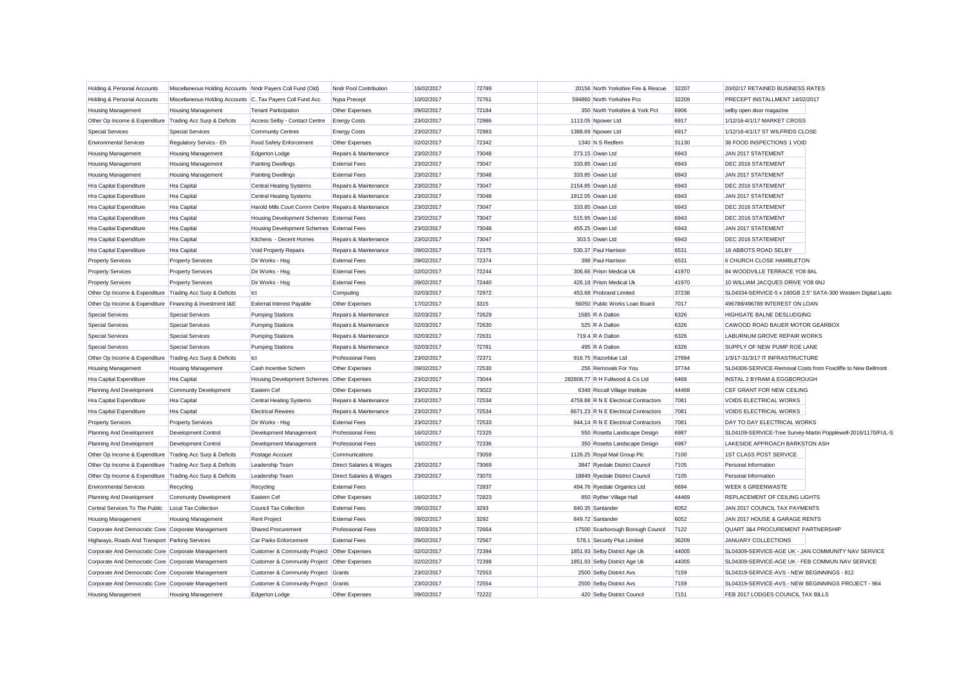| Holding & Personal Accounts                               | Miscellaneous Holding Accounts Nndr Payers Coll Fund (Old) |                                                      | Nndr Pool Contribution   | 16/02/2017 | 72789 | 20156 North Yorkshire Fire & Rescue  | 32207 | 20/02/17 RETAINED BUSINESS RATES                             |                                                               |
|-----------------------------------------------------------|------------------------------------------------------------|------------------------------------------------------|--------------------------|------------|-------|--------------------------------------|-------|--------------------------------------------------------------|---------------------------------------------------------------|
| Holding & Personal Accounts                               | Miscellaneous Holding Accounts C. Tax Payers Coll Fund Acc |                                                      | Nypa Precept             | 10/02/2017 | 72761 | 594860 North Yorkshire Pcc           | 32209 | PRECEPT INSTALLMENT 14/02/2017                               |                                                               |
| <b>Housing Management</b>                                 | Housing Management                                         | <b>Tenant Participation</b>                          | Other Expenses           | 09/02/2017 | 72184 | 350 North Yorkshire & York Pct       | 6906  | selby open door magazine                                     |                                                               |
| Other Op Income & Expenditure Trading Acc Surp & Deficits |                                                            | Access Selby - Contact Centre                        | <b>Energy Costs</b>      | 23/02/2017 | 72986 | 1113.05 Npower Ltd                   | 6917  | 1/12/16-4/1/17 MARKET CROSS                                  |                                                               |
| <b>Special Services</b>                                   | <b>Special Services</b>                                    | <b>Community Centres</b>                             | <b>Energy Costs</b>      | 23/02/2017 | 72983 | 1388.69 Npower Ltd                   | 6917  | 1/12/16-4/1/17 ST WILFRIDS CLOSE                             |                                                               |
| <b>Environmental Services</b>                             | Regulatory Servics - Eh                                    | Food Safety Enforcement                              | Other Expenses           | 02/02/2017 | 72342 | 1340 N S Redfern                     | 31130 | 38 FOOD INSPECTIONS 1 VOID                                   |                                                               |
| <b>Housing Management</b>                                 | <b>Housing Management</b>                                  | Edgerton Lodge                                       | Repairs & Maintenance    | 23/02/2017 | 73048 | 273.15 Owan Ltd                      | 6943  | JAN 2017 STATEMENT                                           |                                                               |
| <b>Housing Management</b>                                 | <b>Housing Management</b>                                  | <b>Painting Dwellings</b>                            | <b>External Fees</b>     | 23/02/2017 | 73047 | 333.85 Owan Ltd                      | 6943  | DEC 2016 STATEMENT                                           |                                                               |
| <b>Housing Management</b>                                 | <b>Housing Management</b>                                  | <b>Painting Dwellings</b>                            | <b>External Fees</b>     | 23/02/2017 | 73048 | 333.85 Owan Ltd                      | 6943  | JAN 2017 STATEMENT                                           |                                                               |
| Hra Capital Expenditure                                   | Hra Capital                                                | <b>Central Heating Systems</b>                       | Repairs & Maintenance    | 23/02/2017 | 73047 | 2154.85 Owan Ltd                     | 6943  | DEC 2016 STATEMENT                                           |                                                               |
| Hra Capital Expenditure                                   | Hra Capital                                                | <b>Central Heating Systems</b>                       | Repairs & Maintenance    | 23/02/2017 | 73048 | 1912.05 Owan Ltd                     | 6943  | JAN 2017 STATEMENT                                           |                                                               |
| Hra Capital Expenditure                                   | Hra Capital                                                | Harold Mills Court Comm Centre Repairs & Maintenance |                          | 23/02/2017 | 73047 | 333.85 Owan Ltd                      | 6943  | DEC 2016 STATEMENT                                           |                                                               |
| Hra Capital Expenditure                                   | Hra Capital                                                | Housing Development Schemes External Fees            |                          | 23/02/2017 | 73047 | 515.95 Owan Ltd                      | 6943  | DEC 2016 STATEMENT                                           |                                                               |
| Hra Capital Expenditure                                   | Hra Capital                                                | Housing Development Schemes External Fees            |                          | 23/02/2017 | 73048 | 455.25 Owan Ltd                      | 6943  | JAN 2017 STATEMENT                                           |                                                               |
| <b>Hra Capital Expenditure</b>                            | Hra Capital                                                | Kitchens - Decent Homes                              | Repairs & Maintenance    | 23/02/2017 | 73047 | 303.5 Owan Ltd                       | 6943  | DEC 2016 STATEMENT                                           |                                                               |
| Hra Capital Expenditure                                   | Hra Capital                                                | Void Property Repairs                                | Repairs & Maintenance    | 09/02/2017 | 72375 | 530.37 Paul Harrison                 | 6531  | 18 ABBOTS ROAD SELBY                                         |                                                               |
| <b>Property Services</b>                                  | <b>Property Services</b>                                   | Dir Works - Hsg                                      | <b>External Fees</b>     | 09/02/2017 | 72374 | 398 Paul Harrison                    | 6531  | 6 CHURCH CLOSE HAMBLETON                                     |                                                               |
| <b>Property Services</b>                                  | <b>Property Services</b>                                   | Dir Works - Hsg                                      | <b>External Fees</b>     | 02/02/2017 | 72244 | 306.66 Prism Medical Uk              | 41970 | 84 WOODVILLE TERRACE YO8 8AL                                 |                                                               |
| <b>Property Services</b>                                  | <b>Property Services</b>                                   | Dir Works - Hsg                                      | <b>External Fees</b>     | 09/02/2017 | 72440 | 426.18 Prism Medical Uk              | 41970 | 10 WILLIAM JACQUES DRIVE YO8 6NJ                             |                                                               |
| Other Op Income & Expenditure Trading Acc Surp & Deficits |                                                            | Ict                                                  | Computing                | 02/03/2017 | 72972 | 453.68 Probrand Limited              | 37238 |                                                              | SL04334-SERVICE-5 x 160GB 2.5" SATA-300 Western Digital Lapto |
| Other Op Income & Expenditure Financing & Investment I&E  |                                                            | <b>External Interest Payable</b>                     | Other Expenses           | 17/02/2017 | 3315  | 56050 Public Works Loan Board        | 7017  | 496788/496789 INTEREST ON LOAN                               |                                                               |
| <b>Special Services</b>                                   | Special Services                                           | <b>Pumping Stations</b>                              | Repairs & Maintenance    | 02/03/2017 | 72629 | 1585 R A Dalton                      | 6326  | HIGHGATE BALNE DESLUDGING                                    |                                                               |
| <b>Special Services</b>                                   | <b>Special Services</b>                                    | <b>Pumping Stations</b>                              | Repairs & Maintenance    | 02/03/2017 | 72630 | 525 R A Dalton                       | 6326  | CAWOOD ROAD BAUER MOTOR GEARBOX                              |                                                               |
| <b>Special Services</b>                                   | <b>Special Services</b>                                    | <b>Pumping Stations</b>                              | Repairs & Maintenance    | 02/03/2017 | 72631 | 719.4 R A Dalton                     | 6326  | LABURNUM GROVE REPAIR WORKS                                  |                                                               |
| <b>Special Services</b>                                   | Special Services                                           | <b>Pumping Stations</b>                              | Repairs & Maintenance    | 02/03/2017 | 72781 | 495 R A Dalton                       | 6326  | SUPPLY OF NEW PUMP ROE LANE                                  |                                                               |
| Other Op Income & Expenditure Trading Acc Surp & Deficits |                                                            | Ict                                                  | <b>Professional Fees</b> | 23/02/2017 | 72371 | 916.75 Razorblue Ltd                 | 27684 | 1/3/17-31/3/17 IT INFRASTRUCTURE                             |                                                               |
| <b>Housing Management</b>                                 | <b>Housing Management</b>                                  | Cash Incentive Schem                                 | Other Expenses           | 09/02/2017 | 72530 | 256 Removals For You                 | 37744 | SL04306-SERVICE-Removal Costs from Foxcliffe to New Bellmont |                                                               |
| Hra Capital Expenditure                                   | Hra Capital                                                | Housing Development Schemes Other Expenses           |                          | 23/02/2017 | 73044 | 282808.77 R H Fullwood & Co Ltd      | 6468  | INSTAL 2 BYRAM & EGGBOROUGH                                  |                                                               |
| Planning And Development                                  | Community Development                                      | Eastern Cef                                          | Other Expenses           | 23/02/2017 | 73022 | 6348 Riccall Village Institute       | 44468 | CEF GRANT FOR NEW CEILING                                    |                                                               |
| Hra Capital Expenditure                                   | Hra Capital                                                | <b>Central Heating Systems</b>                       | Repairs & Maintenance    | 23/02/2017 | 72534 | 4759.88 R N E Electrical Contractors | 7081  | VOIDS ELECTRICAL WORKS                                       |                                                               |
| Hra Capital Expenditure                                   | Hra Capital                                                | <b>Electrical Rewires</b>                            | Repairs & Maintenance    | 23/02/2017 | 72534 | 8671.23 R N E Electrical Contractors | 7081  | VOIDS ELECTRICAL WORKS                                       |                                                               |
| <b>Property Services</b>                                  | <b>Property Services</b>                                   | Dir Works - Hsg                                      | <b>External Fees</b>     | 23/02/2017 | 72533 | 944.14 R N E Electrical Contractors  | 7081  | DAY TO DAY ELECTRICAL WORKS                                  |                                                               |
| Planning And Development                                  | <b>Development Control</b>                                 | Development Management                               | <b>Professional Fees</b> | 16/02/2017 | 72325 | 550 Rosetta Landscape Design         | 6987  |                                                              | SL04109-SERVICE-Tree Survey-Martin Popplewell-2016/1170/FUL-S |
| Planning And Development                                  | Development Control                                        | Development Management                               | <b>Professional Fees</b> | 16/02/2017 | 72336 | 350 Rosetta Landscape Design         | 6987  | LAKESIDE APPROACH BARKSTON ASH                               |                                                               |
| Other Op Income & Expenditure Trading Acc Surp & Deficits |                                                            | Postage Account                                      | Communications           |            | 73059 | 1126.25 Royal Mail Group Plc         | 7100  | 1ST CLASS POST SERVICE                                       |                                                               |
| Other Op Income & Expenditure Trading Acc Surp & Deficits |                                                            | Leadership Team                                      | Direct Salaries & Wages  | 23/02/2017 | 73069 | 3847 Ryedale District Council        | 7105  | Personal Information                                         |                                                               |
| Other Op Income & Expenditure Trading Acc Surp & Deficits |                                                            | Leadership Team                                      | Direct Salaries & Wages  | 23/02/2017 | 73070 | 18849 Ryedale District Council       | 7105  | Personal Information                                         |                                                               |
| <b>Environmental Services</b>                             | Recycling                                                  | Recycling                                            | <b>External Fees</b>     |            | 72837 | 494.76 Ryedale Organics Ltd          | 6694  | <b>WEEK 6 GREENWASTE</b>                                     |                                                               |
| Planning And Development                                  | Community Development                                      | Eastern Cef                                          | Other Expenses           | 16/02/2017 | 72823 | 850 Ryther Village Hall              | 44469 | REPLACEMENT OF CEILING LIGHTS                                |                                                               |
| Central Services To The Public                            | <b>Local Tax Collection</b>                                | Council Tax Collection                               | <b>External Fees</b>     | 09/02/2017 | 3293  | 840.35 Santander                     | 6052  | JAN 2017 COUNCIL TAX PAYMENTS                                |                                                               |
| <b>Housing Management</b>                                 | Housing Management                                         | <b>Rent Project</b>                                  | <b>External Fees</b>     | 09/02/2017 | 3292  | 849.72 Santander                     | 6052  | JAN 2017 HOUSE & GARAGE RENTS                                |                                                               |
| Corporate And Democratic Core Corporate Management        |                                                            | <b>Shared Procurement</b>                            | <b>Professional Fees</b> | 02/03/2017 | 72664 | 17500 Scarborough Borough Council    | 7122  | QUART 3&4 PROCUREMENT PARTNERSHIP                            |                                                               |
| Highways, Roads And Transport Parking Services            |                                                            | Car Parks Enforcement                                | <b>External Fees</b>     | 09/02/2017 | 72567 | 578.1 Security Plus Limited          | 36209 | JANUARY COLLECTIONS                                          |                                                               |
| Corporate And Democratic Core Corporate Management        |                                                            | Customer & Community Project Other Expenses          |                          | 02/02/2017 | 72394 | 1851.93 Selby District Age Uk        | 44005 | SL04309-SERVICE-AGE UK - JAN COMMUNITY NAV SERVICE           |                                                               |
| Corporate And Democratic Core Corporate Management        |                                                            | Customer & Community Project Other Expenses          |                          | 02/02/2017 | 72398 | 1851.93 Selby District Age Uk        | 44005 | SL04309-SERVICE-AGE UK - FEB COMMUN NAV SERVICE              |                                                               |
| Corporate And Democratic Core Corporate Management        |                                                            | Customer & Community Project Grants                  |                          | 23/02/2017 | 72553 | 2500 Selby District Avs              | 7159  | SL04319-SERVICE-AVS - NEW BEGINNINGS - 812                   |                                                               |
| Corporate And Democratic Core Corporate Management        |                                                            | Customer & Community Project Grants                  |                          | 23/02/2017 | 72554 | 2500 Selby District Avs              | 7159  | SL04319-SERVICE-AVS - NEW BEGINNINGS PROJECT - 964           |                                                               |
| <b>Housing Management</b>                                 | Housing Management                                         | <b>Edgerton Lodge</b>                                | Other Expenses           | 09/02/2017 | 72222 | 420 Selby District Council           | 7151  | FEB 2017 LODGES COUNCIL TAX BILLS                            |                                                               |
|                                                           |                                                            |                                                      |                          |            |       |                                      |       |                                                              |                                                               |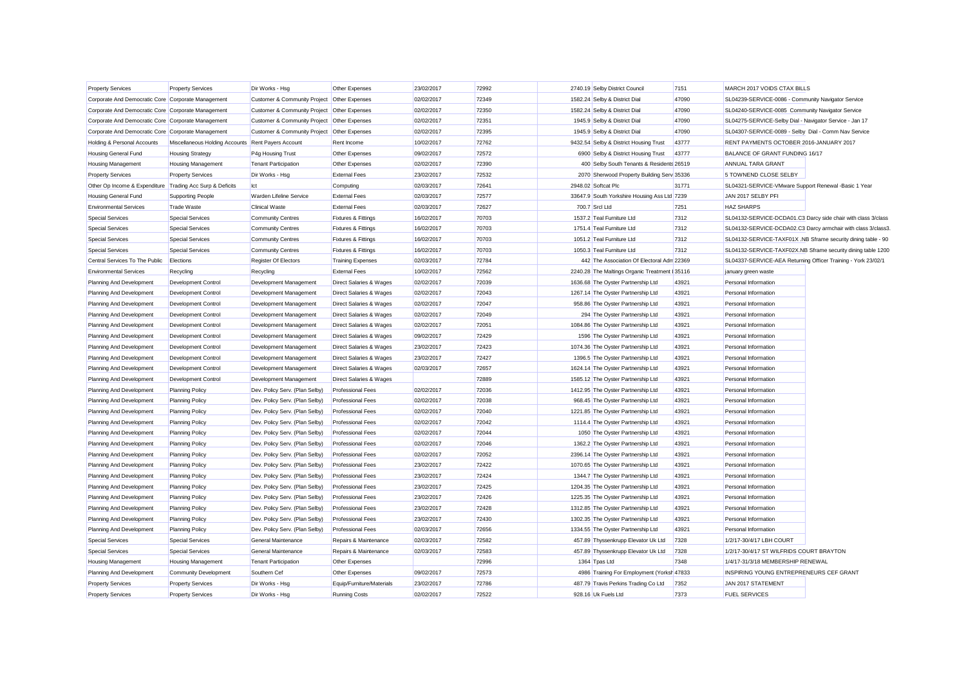| <b>Property Services</b>                                  | <b>Property Services</b>                           | Dir Works - Hsg                             | Other Expenses                     | 23/02/2017 | 72992 | 2740.19 Selby District Council                 | 7151  | MARCH 2017 VOIDS CTAX BILLS                                   |                                                               |
|-----------------------------------------------------------|----------------------------------------------------|---------------------------------------------|------------------------------------|------------|-------|------------------------------------------------|-------|---------------------------------------------------------------|---------------------------------------------------------------|
| Corporate And Democratic Core Corporate Management        |                                                    | Customer & Community Project Other Expenses |                                    | 02/02/2017 | 72349 | 1582.24 Selby & District Dial                  | 47090 | SL04239-SERVICE-0086 - Community Navigator Service            |                                                               |
| Corporate And Democratic Core Corporate Management        |                                                    | Customer & Community Project Other Expenses |                                    | 02/02/2017 | 72350 | 1582.24 Selby & District Dial                  | 47090 | SL04240-SERVICE-0085 Community Navigator Service              |                                                               |
| Corporate And Democratic Core Corporate Management        |                                                    | <b>Customer &amp; Community Project</b>     | <b>Other Expenses</b>              | 02/02/2017 | 72351 | 1945.9 Selby & District Dial                   | 47090 | SL04275-SERVICE-Selby Dial - Navigator Service - Jan 17       |                                                               |
| Corporate And Democratic Core Corporate Management        |                                                    | Customer & Community Project Other Expenses |                                    | 02/02/2017 | 72395 | 1945.9 Selby & District Dial                   | 47090 | SL04307-SERVICE-0089 - Selby Dial - Comm Nav Service          |                                                               |
| Holding & Personal Accounts                               | Miscellaneous Holding Accounts Rent Payers Account |                                             | Rent Income                        | 10/02/2017 | 72762 | 9432.54 Selby & District Housing Trust         | 43777 | RENT PAYMENTS OCTOBER 2016-JANUARY 2017                       |                                                               |
| Housing General Fund                                      | <b>Housing Strategy</b>                            | P4g Housing Trust                           | Other Expenses                     | 09/02/2017 | 72572 | 6900 Selby & District Housing Trust            | 43777 | BALANCE OF GRANT FUNDING 16/17                                |                                                               |
| <b>Housing Management</b>                                 | <b>Housing Management</b>                          | <b>Tenant Participation</b>                 | Other Expenses                     | 02/02/2017 | 72390 | 400 Selby South Tenants & Residents 26519      |       | ANNUAL TARA GRANT                                             |                                                               |
| <b>Property Services</b>                                  | <b>Property Services</b>                           | Dir Works - Hsg                             | <b>External Fees</b>               | 23/02/2017 | 72532 | 2070 Sherwood Property Building Serv 35336     |       | 5 TOWNEND CLOSE SELBY                                         |                                                               |
| Other Op Income & Expenditure Trading Acc Surp & Deficits |                                                    | Ict                                         | Computing                          | 02/03/2017 | 72641 | 2948.02 Softcat Plc                            | 31771 | SL04321-SERVICE-VMware Support Renewal -Basic 1 Year          |                                                               |
| Housing General Fund                                      | <b>Supporting People</b>                           | <b>Warden Lifeline Service</b>              | <b>External Fees</b>               | 02/03/2017 | 72577 | 33647.9 South Yorkshire Housing Ass Ltd 7239   |       | JAN 2017 SELBY PFI                                            |                                                               |
| <b>Environmental Services</b>                             | <b>Trade Waste</b>                                 | <b>Clinical Waste</b>                       | <b>External Fees</b>               | 02/03/2017 | 72627 | 700.7 Srcl Ltd                                 | 7251  | <b>HAZ SHARPS</b>                                             |                                                               |
| <b>Special Services</b>                                   | <b>Special Services</b>                            | <b>Community Centres</b>                    | <b>Fixtures &amp; Fittings</b>     | 16/02/2017 | 70703 | 1537.2 Teal Furniture Ltd                      | 7312  |                                                               | SL04132-SERVICE-DCDA01.C3 Darcy side chair with class 3/class |
| <b>Special Services</b>                                   | <b>Special Services</b>                            | <b>Community Centres</b>                    | <b>Fixtures &amp; Fittings</b>     | 16/02/2017 | 70703 | 1751.4 Teal Furniture Ltd                      | 7312  |                                                               | SL04132-SERVICE-DCDA02.C3 Darcy armchair with class 3/class3. |
| <b>Special Services</b>                                   | <b>Special Services</b>                            | <b>Community Centres</b>                    | <b>Fixtures &amp; Fittings</b>     | 16/02/2017 | 70703 | 1051.2 Teal Furniture Ltd                      | 7312  |                                                               | SL04132-SERVICE-TAXF01X .NB Sframe security dining table - 90 |
| <b>Special Services</b>                                   | <b>Special Services</b>                            | <b>Community Centres</b>                    | <b>Fixtures &amp; Fittings</b>     | 16/02/2017 | 70703 | 1050.3 Teal Furniture Ltd                      | 7312  |                                                               | SL04132-SERVICE-TAXF02X.NB Sframe security dining table 1200  |
| Central Services To The Public                            | Elections                                          | Register Of Electors                        | <b>Training Expenses</b>           | 02/03/2017 | 72784 | 442 The Association Of Electoral Adm 22369     |       | SL04337-SERVICE-AEA Returning Officer Training - York 23/02/1 |                                                               |
| <b>Environmental Services</b>                             | Recycling                                          | Recycling                                   | <b>External Fees</b>               | 10/02/2017 | 72562 | 2240.28 The Maltings Organic Treatment I 35116 |       | january green waste                                           |                                                               |
| Planning And Development                                  | Development Control                                | Development Management                      | Direct Salaries & Wages            | 02/02/2017 | 72039 | 1636.68 The Oyster Partnership Ltd             | 43921 | Personal Information                                          |                                                               |
| Planning And Development                                  | <b>Development Control</b>                         | Development Management                      | <b>Direct Salaries &amp; Wages</b> | 02/02/2017 | 72043 | 1267.14 The Oyster Partnership Ltd             | 43921 | Personal Information                                          |                                                               |
| Planning And Development                                  | Development Control                                | Development Management                      | Direct Salaries & Wages            | 02/02/2017 | 72047 | 958.86 The Oyster Partnership Ltd              | 43921 | Personal Information                                          |                                                               |
| Planning And Development                                  | <b>Development Control</b>                         | Development Management                      | Direct Salaries & Wages            | 02/02/2017 | 72049 | 294 The Oyster Partnership Ltd                 | 43921 | Personal Information                                          |                                                               |
| Planning And Development                                  | <b>Development Control</b>                         | Development Management                      | <b>Direct Salaries &amp; Wages</b> | 02/02/2017 | 72051 | 1084.86 The Oyster Partnership Ltd             | 43921 | Personal Information                                          |                                                               |
| Planning And Development                                  | Development Control                                | Development Management                      | Direct Salaries & Wages            | 09/02/2017 | 72429 | 1596 The Oyster Partnership Ltd                | 43921 | Personal Information                                          |                                                               |
| Planning And Development                                  | Development Control                                | Development Management                      | Direct Salaries & Wages            | 23/02/2017 | 72423 | 1074.36 The Oyster Partnership Ltd             | 43921 | Personal Information                                          |                                                               |
| Planning And Development                                  | Development Control                                | Development Management                      | Direct Salaries & Wages            | 23/02/2017 | 72427 | 1396.5 The Oyster Partnership Ltd              | 43921 | Personal Information                                          |                                                               |
| Planning And Development                                  | Development Control                                | Development Management                      | Direct Salaries & Wages            | 02/03/2017 | 72657 | 1624.14 The Oyster Partnership Ltd             | 43921 | Personal Information                                          |                                                               |
| Planning And Development                                  | Development Control                                | Development Management                      | Direct Salaries & Wages            |            | 72889 | 1585.12 The Oyster Partnership Ltd             | 43921 | Personal Information                                          |                                                               |
| Planning And Development                                  | <b>Planning Policy</b>                             | Dev. Policy Serv. (Plan Selby)              | <b>Professional Fees</b>           | 02/02/2017 | 72036 | 1412.95 The Oyster Partnership Ltd             | 43921 | Personal Information                                          |                                                               |
| Planning And Development                                  | <b>Planning Policy</b>                             | Dev. Policy Serv. (Plan Selby)              | <b>Professional Fees</b>           | 02/02/2017 | 72038 | 968.45 The Oyster Partnership Ltd              | 43921 | Personal Information                                          |                                                               |
| Planning And Development                                  | <b>Planning Policy</b>                             | Dev. Policy Serv. (Plan Selby)              | <b>Professional Fees</b>           | 02/02/2017 | 72040 | 1221.85 The Oyster Partnership Ltd             | 43921 | Personal Information                                          |                                                               |
| Planning And Development                                  | <b>Planning Policy</b>                             | Dev. Policy Serv. (Plan Selby)              | <b>Professional Fees</b>           | 02/02/2017 | 72042 | 1114.4 The Oyster Partnership Ltd              | 43921 | Personal Information                                          |                                                               |
| Planning And Development                                  | <b>Planning Policy</b>                             | Dev. Policy Serv. (Plan Selby)              | <b>Professional Fees</b>           | 02/02/2017 | 72044 | 1050 The Oyster Partnership Ltd                | 43921 | Personal Information                                          |                                                               |
| Planning And Development                                  | <b>Planning Policy</b>                             | Dev. Policy Serv. (Plan Selby               | <b>Professional Fees</b>           | 02/02/2017 | 72046 | 1362.2 The Oyster Partnership Ltd              | 43921 | Personal Information                                          |                                                               |
| Planning And Development                                  | <b>Planning Policy</b>                             | Dev. Policy Serv. (Plan Selby)              | <b>Professional Fees</b>           | 02/02/2017 | 72052 | 2396.14 The Oyster Partnership Ltd             | 43921 | Personal Information                                          |                                                               |
| Planning And Development                                  | <b>Planning Policy</b>                             | Dev. Policy Serv. (Plan Selby)              | <b>Professional Fees</b>           | 23/02/2017 | 72422 | 1070.65 The Oyster Partnership Ltd             | 43921 | Personal Information                                          |                                                               |
| Planning And Development                                  | <b>Planning Policy</b>                             | Dev. Policy Serv. (Plan Selby)              | <b>Professional Fees</b>           | 23/02/2017 | 72424 | 1344.7 The Oyster Partnership Ltd              | 43921 | Personal Information                                          |                                                               |
| Planning And Development                                  | <b>Planning Policy</b>                             | Dev. Policy Serv. (Plan Selby)              | <b>Professional Fees</b>           | 23/02/2017 | 72425 | 1204.35 The Oyster Partnership Ltd             | 43921 | Personal Information                                          |                                                               |
| Planning And Development                                  | <b>Planning Policy</b>                             | Dev. Policy Serv. (Plan Selby)              | <b>Professional Fees</b>           | 23/02/2017 | 72426 | 1225.35 The Oyster Partnership Ltd             | 43921 | Personal Information                                          |                                                               |
| Planning And Development                                  | <b>Planning Policy</b>                             | Dev. Policy Serv. (Plan Selby)              | <b>Professional Fees</b>           | 23/02/2017 | 72428 | 1312.85 The Oyster Partnership Ltd             | 43921 | Personal Information                                          |                                                               |
| Planning And Development                                  | <b>Planning Policy</b>                             | Dev. Policy Serv. (Plan Selby)              | <b>Professional Fees</b>           | 23/02/2017 | 72430 | 1302.35 The Oyster Partnership Ltd             | 43921 | Personal Information                                          |                                                               |
| Planning And Development                                  | <b>Planning Policy</b>                             | Dev. Policy Serv. (Plan Selby)              | <b>Professional Fees</b>           | 02/03/2017 | 72656 | 1334.55 The Oyster Partnership Ltd             | 43921 | Personal Information                                          |                                                               |
| <b>Special Services</b>                                   | <b>Special Services</b>                            | General Maintenance                         | Repairs & Maintenance              | 02/03/2017 | 72582 | 457.89 Thyssenkrupp Elevator Uk Ltd            | 7328  | 1/2/17-30/4/17 LBH COURT                                      |                                                               |
| <b>Special Services</b>                                   | <b>Special Services</b>                            | General Maintenance                         | Repairs & Maintenance              | 02/03/2017 | 72583 | 457.89 Thyssenkrupp Elevator Uk Ltd            | 7328  | 1/2/17-30/4/17 ST WILFRIDS COURT BRAYTON                      |                                                               |
| Housing Management                                        | <b>Housing Management</b>                          | <b>Tenant Participation</b>                 | Other Expenses                     |            | 72996 | 1364 Tpas Ltd                                  | 7348  | 1/4/17-31/3/18 MEMBERSHIP RENEWAL                             |                                                               |
| Planning And Development                                  | Community Development                              | Southern Cef                                | Other Expenses                     | 09/02/2017 | 72573 | 4986 Training For Employment (Yorksh 47833     |       | INSPIRING YOUNG ENTREPRENEURS CEF GRANT                       |                                                               |
| <b>Property Services</b>                                  | <b>Property Services</b>                           | Dir Works - Hsg                             | Equip/Furniture/Materials          | 23/02/2017 | 72786 | 487.79 Travis Perkins Trading Co Ltd           | 7352  | JAN 2017 STATEMENT                                            |                                                               |
|                                                           |                                                    |                                             |                                    | 02/02/2017 | 72522 | 928.16 Uk Fuels Ltd                            | 7373  | <b>FUEL SERVICES</b>                                          |                                                               |
| <b>Property Services</b>                                  | <b>Property Services</b>                           | Dir Works - Hsg                             | <b>Running Costs</b>               |            |       |                                                |       |                                                               |                                                               |